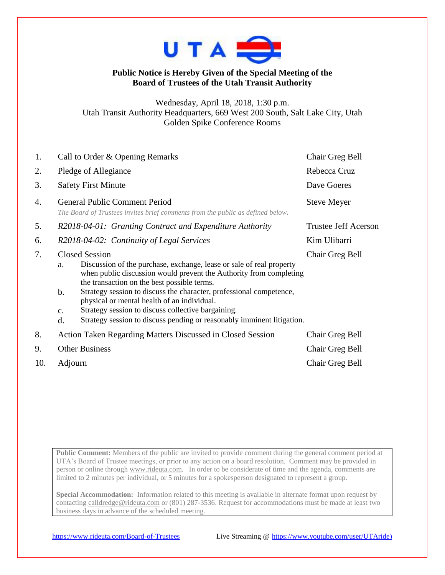

## **Public Notice is Hereby Given of the Special Meeting of the Board of Trustees of the Utah Transit Authority**

Wednesday, April 18, 2018, 1:30 p.m. Utah Transit Authority Headquarters, 669 West 200 South, Salt Lake City, Utah Golden Spike Conference Rooms

| 1.  | Call to Order & Opening Remarks                                                                                                                                                                                                                                                                                                                                                                                                                                                                              | Chair Greg Bell             |
|-----|--------------------------------------------------------------------------------------------------------------------------------------------------------------------------------------------------------------------------------------------------------------------------------------------------------------------------------------------------------------------------------------------------------------------------------------------------------------------------------------------------------------|-----------------------------|
| 2.  | Pledge of Allegiance                                                                                                                                                                                                                                                                                                                                                                                                                                                                                         | Rebecca Cruz                |
| 3.  | <b>Safety First Minute</b>                                                                                                                                                                                                                                                                                                                                                                                                                                                                                   | Dave Goeres                 |
| 4.  | <b>General Public Comment Period</b><br>The Board of Trustees invites brief comments from the public as defined below.                                                                                                                                                                                                                                                                                                                                                                                       | <b>Steve Meyer</b>          |
| 5.  | R2018-04-01: Granting Contract and Expenditure Authority                                                                                                                                                                                                                                                                                                                                                                                                                                                     | <b>Trustee Jeff Acerson</b> |
| 6.  | R2018-04-02: Continuity of Legal Services                                                                                                                                                                                                                                                                                                                                                                                                                                                                    | Kim Ulibarri                |
| 7.  | <b>Closed Session</b><br>Discussion of the purchase, exchange, lease or sale of real property<br>a.<br>when public discussion would prevent the Authority from completing<br>the transaction on the best possible terms.<br>b.<br>Strategy session to discuss the character, professional competence,<br>physical or mental health of an individual.<br>Strategy session to discuss collective bargaining.<br>$\mathbf{C}$ .<br>Strategy session to discuss pending or reasonably imminent litigation.<br>d. | Chair Greg Bell             |
| 8.  | Action Taken Regarding Matters Discussed in Closed Session                                                                                                                                                                                                                                                                                                                                                                                                                                                   | Chair Greg Bell             |
| 9.  | <b>Other Business</b>                                                                                                                                                                                                                                                                                                                                                                                                                                                                                        | Chair Greg Bell             |
| 10. | Adjourn                                                                                                                                                                                                                                                                                                                                                                                                                                                                                                      | Chair Greg Bell             |

Public Comment: Members of the public are invited to provide comment during the general comment period at UTA's Board of Trustee meetings, or prior to any action on a board resolution. Comment may be provided in person or online through [www.rideuta.com.](http://www.rideuta.com/) In order to be considerate of time and the agenda, comments are limited to 2 minutes per individual, or 5 minutes for a spokesperson designated to represent a group.

**Special Accommodation:** Information related to this meeting is available in alternate format upon request by contacting [calldredge@rideuta.com](mailto:calldredge@rideuta.com) or (801) 287-3536. Request for accommodations must be made at least two business days in advance of the scheduled meeting.